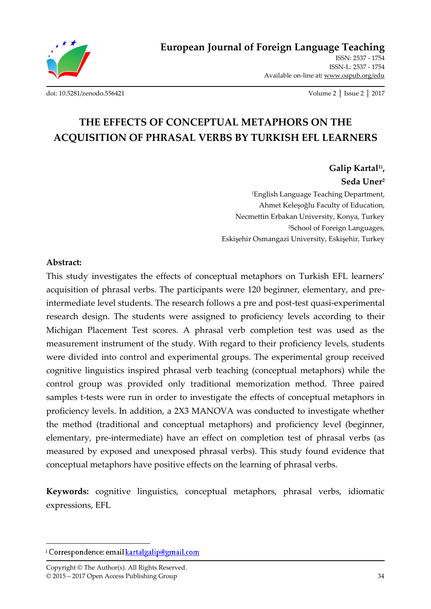

ISSN: 2537 - 1754 ISSN-L: 2537 - 1754 Available on-line at**:** www.oapub.org/edu

[doi: 10.5281/zenodo.556421](http://dx.doi.org/10.5281/zenodo.556421) Volume 2 │ Issue 2 │ 2017

# **THE EFFECTS OF CONCEPTUAL METAPHORS ON THE ACQUISITION OF PHRASAL VERBS BY TURKISH EFL LEARNERS**

**Galip Kartal1i , Seda Uner<sup>2</sup>** <sup>1</sup>English Language Teaching Department, Ahmet Keleşoğlu Faculty of Education, Necmettin Erbakan University, Konya, Turkey <sup>2</sup>School of Foreign Languages, Eskişehir Osmangazi University, Eskişehir, Turkey

#### **Abstract:**

 $\overline{a}$ 

This study investigates the effects of conceptual metaphors on Turkish EFL learners' acquisition of phrasal verbs. The participants were 120 beginner, elementary, and preintermediate level students. The research follows a pre and post-test quasi-experimental research design. The students were assigned to proficiency levels according to their Michigan Placement Test scores. A phrasal verb completion test was used as the measurement instrument of the study. With regard to their proficiency levels, students were divided into control and experimental groups. The experimental group received cognitive linguistics inspired phrasal verb teaching (conceptual metaphors) while the control group was provided only traditional memorization method. Three paired samples t-tests were run in order to investigate the effects of conceptual metaphors in proficiency levels. In addition, a 2X3 MANOVA was conducted to investigate whether the method (traditional and conceptual metaphors) and proficiency level (beginner, elementary, pre-intermediate) have an effect on completion test of phrasal verbs (as measured by exposed and unexposed phrasal verbs). This study found evidence that conceptual metaphors have positive effects on the learning of phrasal verbs.

**Keywords:** cognitive linguistics, conceptual metaphors, phrasal verbs, idiomatic expressions, EFL

<sup>&</sup>lt;sup>i</sup> Correspondence: email **kartalgalip@gmail.com**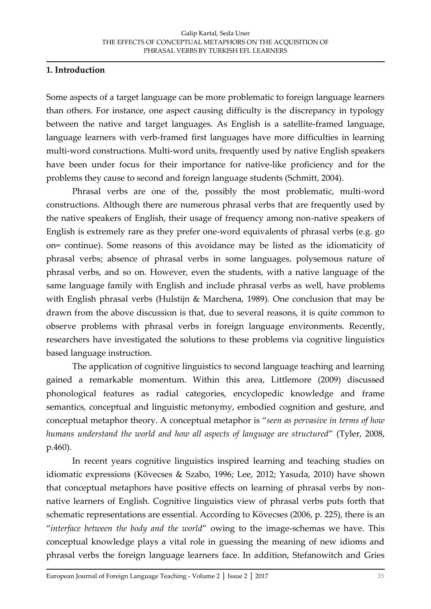### **1. Introduction**

Some aspects of a target language can be more problematic to foreign language learners than others. For instance, one aspect causing difficulty is the discrepancy in typology between the native and target languages. As English is a satellite-framed language, language learners with verb-framed first languages have more difficulties in learning multi-word constructions. Multi-word units, frequently used by native English speakers have been under focus for their importance for native-like proficiency and for the problems they cause to second and foreign language students (Schmitt, 2004).

Phrasal verbs are one of the, possibly the most problematic, multi-word constructions. Although there are numerous phrasal verbs that are frequently used by the native speakers of English, their usage of frequency among non-native speakers of English is extremely rare as they prefer one-word equivalents of phrasal verbs (e.g. go on= continue). Some reasons of this avoidance may be listed as the idiomaticity of phrasal verbs; absence of phrasal verbs in some languages, polysemous nature of phrasal verbs, and so on. However, even the students, with a native language of the same language family with English and include phrasal verbs as well, have problems with English phrasal verbs (Hulstijn & Marchena, 1989). One conclusion that may be drawn from the above discussion is that, due to several reasons, it is quite common to observe problems with phrasal verbs in foreign language environments. Recently, researchers have investigated the solutions to these problems via cognitive linguistics based language instruction.

The application of cognitive linguistics to second language teaching and learning gained a remarkable momentum. Within this area, Littlemore (2009) discussed phonological features as radial categories, encyclopedic knowledge and frame semantics, conceptual and linguistic metonymy, embodied cognition and gesture, and conceptual metaphor theory. A conceptual metaphor is '*seen as pervasive in terms of how humans understand the world and how all aspects of language are structured*' (Tyler, 2008, p.460).

In recent years cognitive linguistics inspired learning and teaching studies on idiomatic expressions (Kövecses & Szabo, 1996; Lee, 2012; Yasuda, 2010) have shown that conceptual metaphors have positive effects on learning of phrasal verbs by nonnative learners of English. Cognitive linguistics view of phrasal verbs puts forth that schematic representations are essential. According to Kövecses (2006, p. 225), there is an '*interface between the body and the world*' owing to the image-schemas we have. This conceptual knowledge plays a vital role in guessing the meaning of new idioms and phrasal verbs the foreign language learners face. In addition, Stefanowitch and Gries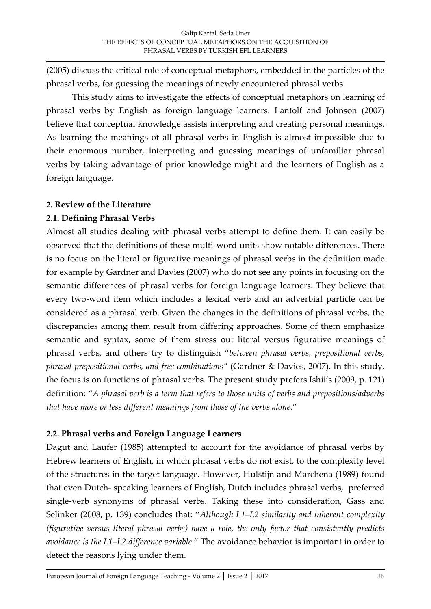(2005) discuss the critical role of conceptual metaphors, embedded in the particles of the phrasal verbs, for guessing the meanings of newly encountered phrasal verbs.

This study aims to investigate the effects of conceptual metaphors on learning of phrasal verbs by English as foreign language learners. Lantolf and Johnson (2007) believe that conceptual knowledge assists interpreting and creating personal meanings. As learning the meanings of all phrasal verbs in English is almost impossible due to their enormous number, interpreting and guessing meanings of unfamiliar phrasal verbs by taking advantage of prior knowledge might aid the learners of English as a foreign language.

# **2. Review of the Literature**

# **2.1. Defining Phrasal Verbs**

Almost all studies dealing with phrasal verbs attempt to define them. It can easily be observed that the definitions of these multi-word units show notable differences. There is no focus on the literal or figurative meanings of phrasal verbs in the definition made for example by Gardner and Davies (2007) who do not see any points in focusing on the semantic differences of phrasal verbs for foreign language learners. They believe that every two-word item which includes a lexical verb and an adverbial particle can be considered as a phrasal verb. Given the changes in the definitions of phrasal verbs, the discrepancies among them result from differing approaches. Some of them emphasize semantic and syntax, some of them stress out literal versus figurative meanings of phrasal verbs, and others try to distinguish '*between phrasal verbs, prepositional verbs, phrasal-prepositional verbs, and free combinations"* (Gardner & Davies, 2007). In this study, the focus is on functions of phrasal verbs. The present study prefers Ishii's (2009, p. 121) definition: '*A phrasal verb is a term that refers to those units of verbs and prepositions/adverbs that have more or less different meanings from those of the verbs alone*.'

# **2.2. Phrasal verbs and Foreign Language Learners**

Dagut and Laufer (1985) attempted to account for the avoidance of phrasal verbs by Hebrew learners of English, in which phrasal verbs do not exist, to the complexity level of the structures in the target language. However, Hulstijn and Marchena (1989) found that even Dutch- speaking learners of English, Dutch includes phrasal verbs, preferred single-verb synonyms of phrasal verbs. Taking these into consideration, Gass and Selinker (2008, p. 139) concludes that: '*Although L1–L2 similarity and inherent complexity (figurative versus literal phrasal verbs) have a role, the only factor that consistently predicts avoidance is the L1–L2 difference variable*.' The avoidance behavior is important in order to detect the reasons lying under them.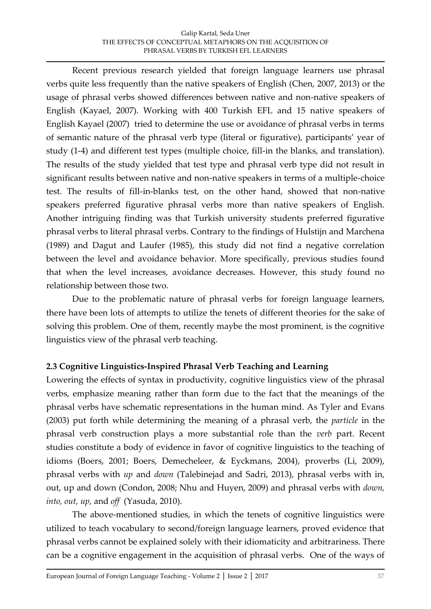Recent previous research yielded that foreign language learners use phrasal verbs quite less frequently than the native speakers of English (Chen, 2007, 2013) or the usage of phrasal verbs showed differences between native and non-native speakers of English (Kayael, 2007). Working with 400 Turkish EFL and 15 native speakers of English Kayael (2007) tried to determine the use or avoidance of phrasal verbs in terms of semantic nature of the phrasal verb type (literal or figurative), participants' year of study (1-4) and different test types (multiple choice, fill-in the blanks, and translation). The results of the study yielded that test type and phrasal verb type did not result in significant results between native and non-native speakers in terms of a multiple-choice test. The results of fill-in-blanks test, on the other hand, showed that non-native speakers preferred figurative phrasal verbs more than native speakers of English. Another intriguing finding was that Turkish university students preferred figurative phrasal verbs to literal phrasal verbs. Contrary to the findings of Hulstijn and Marchena (1989) and Dagut and Laufer (1985), this study did not find a negative correlation between the level and avoidance behavior. More specifically, previous studies found that when the level increases, avoidance decreases. However, this study found no relationship between those two.

Due to the problematic nature of phrasal verbs for foreign language learners, there have been lots of attempts to utilize the tenets of different theories for the sake of solving this problem. One of them, recently maybe the most prominent, is the cognitive linguistics view of the phrasal verb teaching.

# **2.3 Cognitive Linguistics-Inspired Phrasal Verb Teaching and Learning**

Lowering the effects of syntax in productivity, cognitive linguistics view of the phrasal verbs, emphasize meaning rather than form due to the fact that the meanings of the phrasal verbs have schematic representations in the human mind. As Tyler and Evans (2003) put forth while determining the meaning of a phrasal verb, the *particle* in the phrasal verb construction plays a more substantial role than the *verb* part. Recent studies constitute a body of evidence in favor of cognitive linguistics to the teaching of idioms (Boers, 2001; Boers, Demecheleer, & Eyckmans, 2004), proverbs (Li, 2009), phrasal verbs with *up* and *down* (Talebinejad and Sadri, 2013), phrasal verbs with in, out, up and down (Condon, 2008; Nhu and Huyen, 2009) and phrasal verbs with *down, into, out, up,* and *off* (Yasuda, 2010).

The above-mentioned studies, in which the tenets of cognitive linguistics were utilized to teach vocabulary to second/foreign language learners, proved evidence that phrasal verbs cannot be explained solely with their idiomaticity and arbitrariness. There can be a cognitive engagement in the acquisition of phrasal verbs. One of the ways of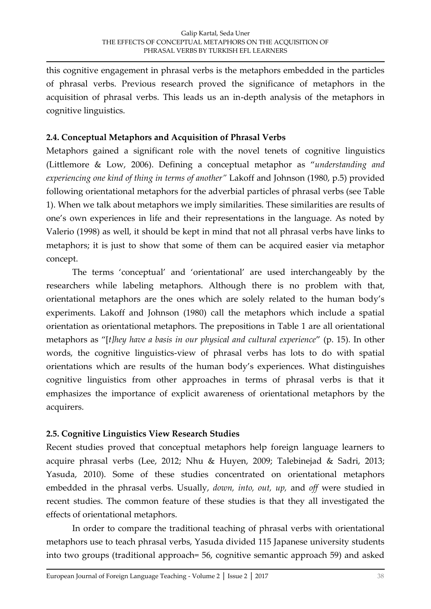this cognitive engagement in phrasal verbs is the metaphors embedded in the particles of phrasal verbs. Previous research proved the significance of metaphors in the acquisition of phrasal verbs. This leads us an in-depth analysis of the metaphors in cognitive linguistics.

### **2.4. Conceptual Metaphors and Acquisition of Phrasal Verbs**

Metaphors gained a significant role with the novel tenets of cognitive linguistics (Littlemore & Low, 2006). Defining a conceptual metaphor as '*understanding and experiencing one kind of thing in terms of another"* Lakoff and Johnson (1980, p.5) provided following orientational metaphors for the adverbial particles of phrasal verbs (see Table 1). When we talk about metaphors we imply similarities. These similarities are results of one's own experiences in life and their representations in the language. As noted by Valerio (1998) as well, it should be kept in mind that not all phrasal verbs have links to metaphors; it is just to show that some of them can be acquired easier via metaphor concept.

The terms 'conceptual' and 'orientational' are used interchangeably by the researchers while labeling metaphors. Although there is no problem with that, orientational metaphors are the ones which are solely related to the human body's experiments. Lakoff and Johnson (1980) call the metaphors which include a spatial orientation as orientational metaphors. The prepositions in Table 1 are all orientational metaphors as '[*t]hey have a basis in our physical and cultural experience*' (p. 15). In other words, the cognitive linguistics-view of phrasal verbs has lots to do with spatial orientations which are results of the human body's experiences. What distinguishes cognitive linguistics from other approaches in terms of phrasal verbs is that it emphasizes the importance of explicit awareness of orientational metaphors by the acquirers.

# **2.5. Cognitive Linguistics View Research Studies**

Recent studies proved that conceptual metaphors help foreign language learners to acquire phrasal verbs (Lee, 2012; Nhu & Huyen, 2009; Talebinejad & Sadri, 2013; Yasuda, 2010). Some of these studies concentrated on orientational metaphors embedded in the phrasal verbs. Usually, *down, into, out, up,* and *off* were studied in recent studies. The common feature of these studies is that they all investigated the effects of orientational metaphors.

In order to compare the traditional teaching of phrasal verbs with orientational metaphors use to teach phrasal verbs, Yasuda divided 115 Japanese university students into two groups (traditional approach= 56, cognitive semantic approach 59) and asked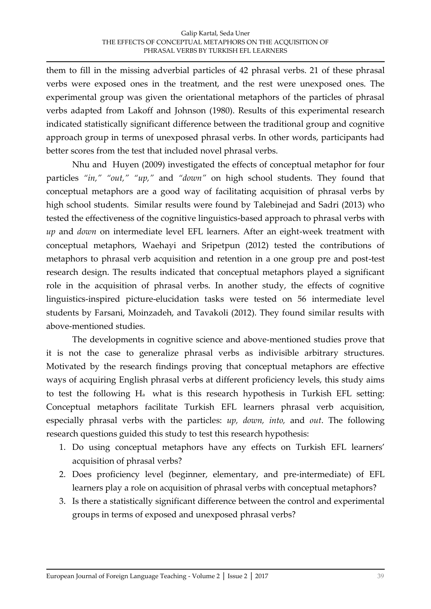them to fill in the missing adverbial particles of 42 phrasal verbs. 21 of these phrasal verbs were exposed ones in the treatment, and the rest were unexposed ones. The experimental group was given the orientational metaphors of the particles of phrasal verbs adapted from Lakoff and Johnson (1980). Results of this experimental research indicated statistically significant difference between the traditional group and cognitive approach group in terms of unexposed phrasal verbs. In other words, participants had better scores from the test that included novel phrasal verbs.

Nhu and Huyen (2009) investigated the effects of conceptual metaphor for four particles *"in," "out," "up,"* and *"down"* on high school students. They found that conceptual metaphors are a good way of facilitating acquisition of phrasal verbs by high school students. Similar results were found by Talebinejad and Sadri (2013) who tested the effectiveness of the cognitive linguistics-based approach to phrasal verbs with *up* and *down* on intermediate level EFL learners. After an eight-week treatment with conceptual metaphors, Waehayi and Sripetpun (2012) tested the contributions of metaphors to phrasal verb acquisition and retention in a one group pre and post-test research design. The results indicated that conceptual metaphors played a significant role in the acquisition of phrasal verbs. In another study, the effects of cognitive linguistics-inspired picture-elucidation tasks were tested on 56 intermediate level students by Farsani, Moinzadeh, and Tavakoli (2012). They found similar results with above-mentioned studies.

The developments in cognitive science and above-mentioned studies prove that it is not the case to generalize phrasal verbs as indivisible arbitrary structures. Motivated by the research findings proving that conceptual metaphors are effective ways of acquiring English phrasal verbs at different proficiency levels, this study aims to test the following Ha what is this research hypothesis in Turkish EFL setting: Conceptual metaphors facilitate Turkish EFL learners phrasal verb acquisition, especially phrasal verbs with the particles: *up, down, into,* and *out*. The following research questions guided this study to test this research hypothesis:

- 1. Do using conceptual metaphors have any effects on Turkish EFL learners' acquisition of phrasal verbs?
- 2. Does proficiency level (beginner, elementary, and pre-intermediate) of EFL learners play a role on acquisition of phrasal verbs with conceptual metaphors?
- 3. Is there a statistically significant difference between the control and experimental groups in terms of exposed and unexposed phrasal verbs?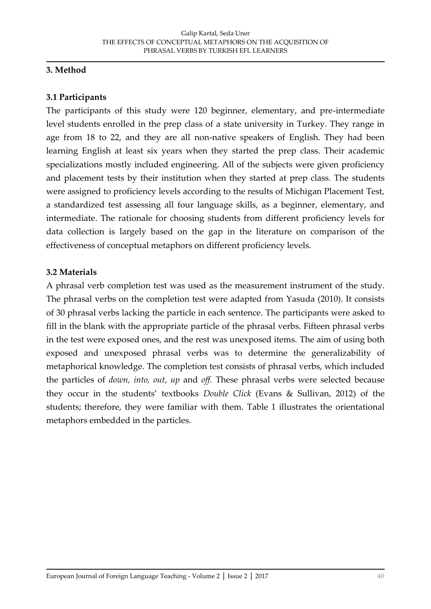### **3. Method**

### **3.1 Participants**

The participants of this study were 120 beginner, elementary, and pre-intermediate level students enrolled in the prep class of a state university in Turkey. They range in age from 18 to 22, and they are all non-native speakers of English. They had been learning English at least six years when they started the prep class. Their academic specializations mostly included engineering. All of the subjects were given proficiency and placement tests by their institution when they started at prep class. The students were assigned to proficiency levels according to the results of Michigan Placement Test, a standardized test assessing all four language skills, as a beginner, elementary, and intermediate. The rationale for choosing students from different proficiency levels for data collection is largely based on the gap in the literature on comparison of the effectiveness of conceptual metaphors on different proficiency levels.

### **3.2 Materials**

A phrasal verb completion test was used as the measurement instrument of the study. The phrasal verbs on the completion test were adapted from Yasuda (2010). It consists of 30 phrasal verbs lacking the particle in each sentence. The participants were asked to fill in the blank with the appropriate particle of the phrasal verbs. Fifteen phrasal verbs in the test were exposed ones, and the rest was unexposed items. The aim of using both exposed and unexposed phrasal verbs was to determine the generalizability of metaphorical knowledge. The completion test consists of phrasal verbs, which included the particles of *down, into, out*, *up* and *off.* These phrasal verbs were selected because they occur in the students' textbooks *Double Click* (Evans & Sullivan, 2012) of the students; therefore, they were familiar with them. Table 1 illustrates the orientational metaphors embedded in the particles.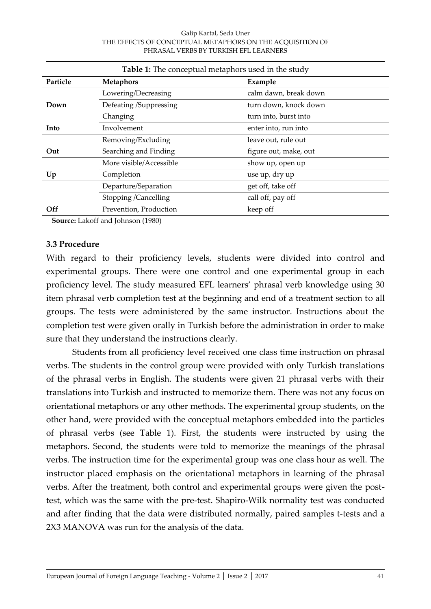| <b>Table 1:</b> The conceptual metaphors used in the study |                         |                       |  |  |
|------------------------------------------------------------|-------------------------|-----------------------|--|--|
| Particle                                                   | <b>Metaphors</b>        | Example               |  |  |
|                                                            | Lowering/Decreasing     | calm dawn, break down |  |  |
| Down                                                       | Defeating /Suppressing  | turn down, knock down |  |  |
|                                                            | Changing                | turn into, burst into |  |  |
| Into                                                       | Involvement             | enter into, run into  |  |  |
|                                                            | Removing/Excluding      | leave out, rule out   |  |  |
| Out                                                        | Searching and Finding   | figure out, make, out |  |  |
|                                                            | More visible/Accessible | show up, open up      |  |  |
| Up                                                         | Completion              | use up, dry up        |  |  |
|                                                            | Departure/Separation    | get off, take off     |  |  |
|                                                            | Stopping /Cancelling    | call off, pay off     |  |  |
| Off                                                        | Prevention, Production  | keep off              |  |  |

**Source:** Lakoff and Johnson (1980)

#### **3.3 Procedure**

With regard to their proficiency levels, students were divided into control and experimental groups. There were one control and one experimental group in each proficiency level. The study measured EFL learners' phrasal verb knowledge using 30 item phrasal verb completion test at the beginning and end of a treatment section to all groups. The tests were administered by the same instructor. Instructions about the completion test were given orally in Turkish before the administration in order to make sure that they understand the instructions clearly.

Students from all proficiency level received one class time instruction on phrasal verbs. The students in the control group were provided with only Turkish translations of the phrasal verbs in English. The students were given 21 phrasal verbs with their translations into Turkish and instructed to memorize them. There was not any focus on orientational metaphors or any other methods. The experimental group students, on the other hand, were provided with the conceptual metaphors embedded into the particles of phrasal verbs (see Table 1). First, the students were instructed by using the metaphors. Second, the students were told to memorize the meanings of the phrasal verbs. The instruction time for the experimental group was one class hour as well. The instructor placed emphasis on the orientational metaphors in learning of the phrasal verbs. After the treatment, both control and experimental groups were given the posttest, which was the same with the pre-test. Shapiro-Wilk normality test was conducted and after finding that the data were distributed normally, paired samples t-tests and a 2X3 MANOVA was run for the analysis of the data.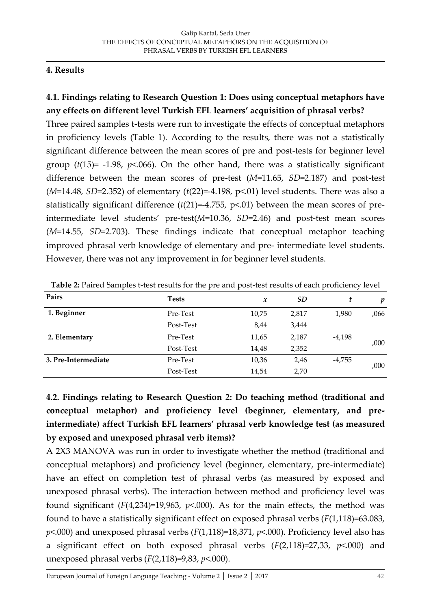# **4. Results**

# **4.1. Findings relating to Research Question 1: Does using conceptual metaphors have any effects on different level Turkish EFL learners' acquisition of phrasal verbs?**

Three paired samples t-tests were run to investigate the effects of conceptual metaphors in proficiency levels (Table 1). According to the results, there was not a statistically significant difference between the mean scores of pre and post-tests for beginner level group  $(t(15)$ = -1.98,  $p$ <.066). On the other hand, there was a statistically significant difference between the mean scores of pre-test (*M*=11.65, *SD*=2.187) and post-test (*M*=14.48, *SD*=2.352) of elementary (*t*(22)=-4.198, p<.01) level students. There was also a statistically significant difference (*t*(21)=-4.755, p<.01) between the mean scores of preintermediate level students' pre-test(*M*=10.36, *SD*=2.46) and post-test mean scores (*M*=14.55, *SD*=2.703). These findings indicate that conceptual metaphor teaching improved phrasal verb knowledge of elementary and pre- intermediate level students. However, there was not any improvement in for beginner level students.

| Pairs               | <b>Tests</b> | $\boldsymbol{x}$ | SD    | t        | p    |  |
|---------------------|--------------|------------------|-------|----------|------|--|
| 1. Beginner         | Pre-Test     | 10,75            | 2,817 | 1,980    | ,066 |  |
|                     | Post-Test    | 8,44             | 3,444 |          |      |  |
| 2. Elementary       | Pre-Test     | 11,65            | 2,187 | $-4,198$ |      |  |
|                     | Post-Test    | 14,48            | 2,352 |          | ,000 |  |
| 3. Pre-Intermediate | Pre-Test     | 10,36            | 2,46  | $-4,755$ | ,000 |  |
|                     | Post-Test    | 14,54            | 2,70  |          |      |  |

**Table 2:** Paired Samples t-test results for the pre and post-test results of each proficiency level

**4.2. Findings relating to Research Question 2: Do teaching method (traditional and conceptual metaphor) and proficiency level (beginner, elementary, and preintermediate) affect Turkish EFL learners' phrasal verb knowledge test (as measured by exposed and unexposed phrasal verb items)?**

A 2X3 MANOVA was run in order to investigate whether the method (traditional and conceptual metaphors) and proficiency level (beginner, elementary, pre-intermediate) have an effect on completion test of phrasal verbs (as measured by exposed and unexposed phrasal verbs). The interaction between method and proficiency level was found significant  $(F(4,234)=19,963, p<0.00)$ . As for the main effects, the method was found to have a statistically significant effect on exposed phrasal verbs (*F*(1,118)=63.083, *p*<.000) and unexposed phrasal verbs (*F*(1,118)=18,371, *p*<.000). Proficiency level also has a significant effect on both exposed phrasal verbs (*F*(2,118)=27,33, *p*<.000) and unexposed phrasal verbs (*F*(2,118)=9,83, *p*<.000).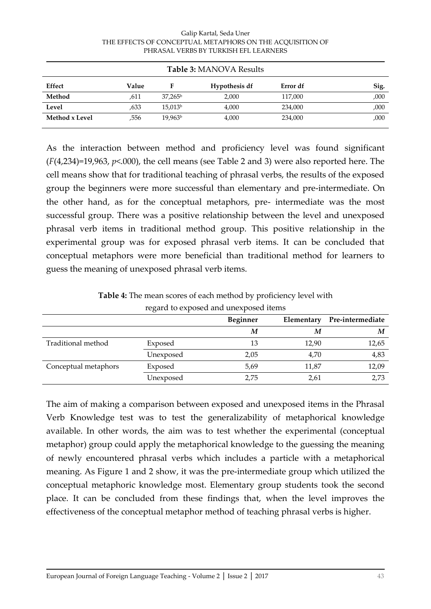| Table 3: MANOVA Results |       |                     |               |          |      |
|-------------------------|-------|---------------------|---------------|----------|------|
| Effect                  | Value |                     | Hypothesis df | Error df | Sig. |
| Method                  | .611  | $37,265^{\rm b}$    | 2,000         | 117,000  | ,000 |
| Level                   | .633  | 15,013 <sup>b</sup> | 4,000         | 234,000  | ,000 |
| Method x Level          | ,556  | 19,963 <sup>b</sup> | 4,000         | 234,000  | ,000 |

As the interaction between method and proficiency level was found significant (*F*(4,234)=19,963, *p*<.000), the cell means (see Table 2 and 3) were also reported here. The cell means show that for traditional teaching of phrasal verbs, the results of the exposed group the beginners were more successful than elementary and pre-intermediate. On the other hand, as for the conceptual metaphors, pre- intermediate was the most successful group. There was a positive relationship between the level and unexposed phrasal verb items in traditional method group. This positive relationship in the experimental group was for exposed phrasal verb items. It can be concluded that conceptual metaphors were more beneficial than traditional method for learners to guess the meaning of unexposed phrasal verb items.

**Table 4:** The mean scores of each method by proficiency level with regard to exposed and unexposed items

|                      |           | Beginner | Elementary | Pre-intermediate |
|----------------------|-----------|----------|------------|------------------|
|                      |           | M        | M          | M                |
| Traditional method   | Exposed   | 13       | 12,90      | 12,65            |
|                      | Unexposed | 2,05     | 4.70       | 4,83             |
| Conceptual metaphors | Exposed   | 5,69     | 11,87      | 12,09            |
|                      | Unexposed | 2,75     | 2,61       | 2,73             |

The aim of making a comparison between exposed and unexposed items in the Phrasal Verb Knowledge test was to test the generalizability of metaphorical knowledge available. In other words, the aim was to test whether the experimental (conceptual metaphor) group could apply the metaphorical knowledge to the guessing the meaning of newly encountered phrasal verbs which includes a particle with a metaphorical meaning. As Figure 1 and 2 show, it was the pre-intermediate group which utilized the conceptual metaphoric knowledge most. Elementary group students took the second place. It can be concluded from these findings that, when the level improves the effectiveness of the conceptual metaphor method of teaching phrasal verbs is higher.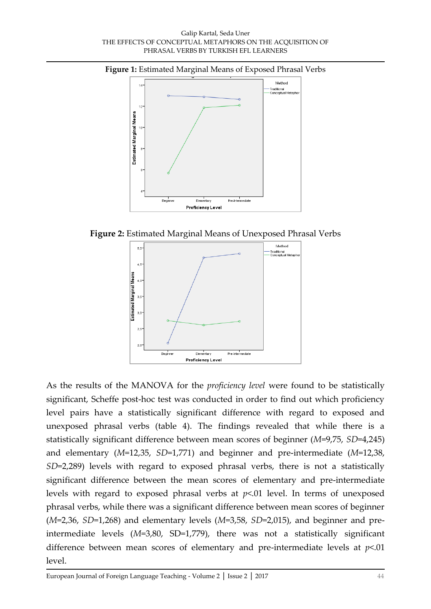#### **Figure 1:** Estimated Marginal Means of Exposed Phrasal Verbs



**Figure 2:** Estimated Marginal Means of Unexposed Phrasal Verbs



As the results of the MANOVA for the *proficiency level* were found to be statistically significant, Scheffe post-hoc test was conducted in order to find out which proficiency level pairs have a statistically significant difference with regard to exposed and unexposed phrasal verbs (table 4). The findings revealed that while there is a statistically significant difference between mean scores of beginner (*M*=9,75, *SD*=4,245) and elementary (*M*=12,35, *SD*=1,771) and beginner and pre-intermediate (*M*=12,38, *SD*=2,289) levels with regard to exposed phrasal verbs, there is not a statistically significant difference between the mean scores of elementary and pre-intermediate levels with regard to exposed phrasal verbs at *p*<.01 level. In terms of unexposed phrasal verbs, while there was a significant difference between mean scores of beginner (*M*=2,36, *SD*=1,268) and elementary levels (*M*=3,58, *SD*=2,015), and beginner and preintermediate levels (*M*=3,80, SD=1,779), there was not a statistically significant difference between mean scores of elementary and pre-intermediate levels at *p*<.01 level.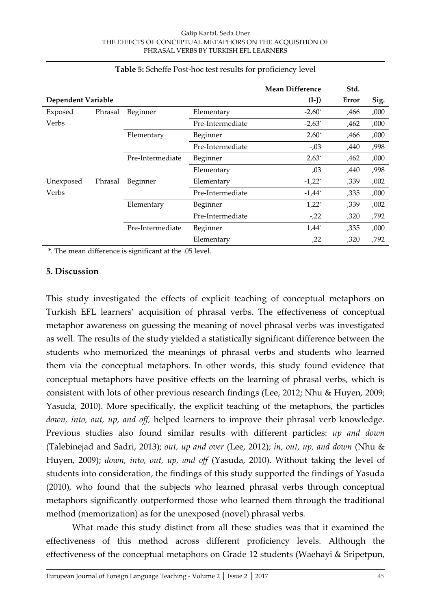|                    |         |                  |                  | <b>Mean Difference</b> | Std. |      |
|--------------------|---------|------------------|------------------|------------------------|------|------|
| Dependent Variable |         |                  | $(I-I)$          | Error                  | Sig. |      |
| Exposed            | Phrasal | Beginner         | Elementary       | $-2,60^*$              | ,466 | ,000 |
| Verbs              |         |                  | Pre-Intermediate | $-2,63^*$              | ,462 | ,000 |
|                    |         | Elementary       | Beginner         | $2,60^*$               | ,466 | ,000 |
|                    |         |                  | Pre-Intermediate | $-0.03$                | ,440 | ,998 |
|                    |         | Pre-Intermediate | Beginner         | $2,63^*$               | ,462 | ,000 |
|                    |         |                  | Elementary       | ,03                    | ,440 | ,998 |
| Unexposed          | Phrasal | Beginner         | Elementary       | $-1,22^*$              | ,339 | ,002 |
| Verbs              |         |                  | Pre-Intermediate | $-1,44^*$              | ,335 | ,000 |
|                    |         | Elementary       | Beginner         | $1,22^*$               | ,339 | ,002 |
|                    |         |                  | Pre-Intermediate | $-22$                  | ,320 | ,792 |
|                    |         | Pre-Intermediate | Beginner         | $1,44*$                | ,335 | ,000 |
|                    |         |                  | Elementary       | ,22                    | ,320 | ,792 |

#### **Table 5:** Scheffe Post-hoc test results for proficiency level

\*. The mean difference is significant at the .05 level.

#### **5. Discussion**

This study investigated the effects of explicit teaching of conceptual metaphors on Turkish EFL learners' acquisition of phrasal verbs. The effectiveness of conceptual metaphor awareness on guessing the meaning of novel phrasal verbs was investigated as well. The results of the study yielded a statistically significant difference between the students who memorized the meanings of phrasal verbs and students who learned them via the conceptual metaphors. In other words, this study found evidence that conceptual metaphors have positive effects on the learning of phrasal verbs, which is consistent with lots of other previous research findings (Lee, 2012; Nhu & Huyen, 2009; Yasuda, 2010). More specifically, the explicit teaching of the metaphors, the particles *down, into, out, up, and off,* helped learners to improve their phrasal verb knowledge. Previous studies also found similar results with different particles: *up and down* (Talebinejad and Sadri, 2013); *out, up and over* (Lee, 2012); *in, out, up, and down* (Nhu & Huyen, 2009); *down, into, out, up, and off* (Yasuda, 2010). Without taking the level of students into consideration, the findings of this study supported the findings of Yasuda (2010), who found that the subjects who learned phrasal verbs through conceptual metaphors significantly outperformed those who learned them through the traditional method (memorization) as for the unexposed (novel) phrasal verbs.

What made this study distinct from all these studies was that it examined the effectiveness of this method across different proficiency levels. Although the effectiveness of the conceptual metaphors on Grade 12 students (Waehayi & Sripetpun,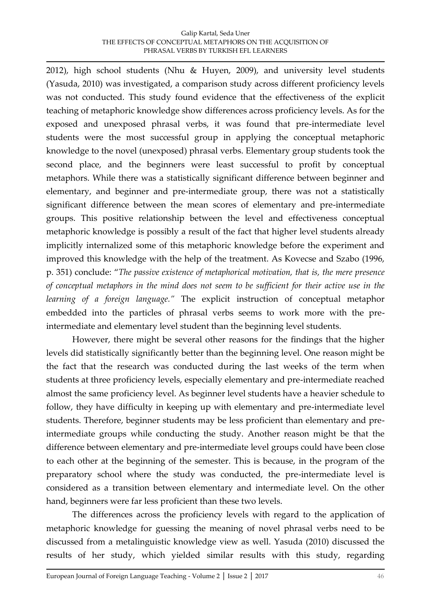2012), high school students (Nhu & Huyen, 2009), and university level students (Yasuda, 2010) was investigated, a comparison study across different proficiency levels was not conducted. This study found evidence that the effectiveness of the explicit teaching of metaphoric knowledge show differences across proficiency levels. As for the exposed and unexposed phrasal verbs, it was found that pre-intermediate level students were the most successful group in applying the conceptual metaphoric knowledge to the novel (unexposed) phrasal verbs. Elementary group students took the second place, and the beginners were least successful to profit by conceptual metaphors. While there was a statistically significant difference between beginner and elementary, and beginner and pre-intermediate group, there was not a statistically significant difference between the mean scores of elementary and pre-intermediate groups. This positive relationship between the level and effectiveness conceptual metaphoric knowledge is possibly a result of the fact that higher level students already implicitly internalized some of this metaphoric knowledge before the experiment and improved this knowledge with the help of the treatment. As Kovecse and Szabo (1996, p. 351) conclude: '*The passive existence of metaphorical motivation, that is, the mere presence of conceptual metaphors in the mind does not seem to be sufficient for their active use in the learning of a foreign language."* The explicit instruction of conceptual metaphor embedded into the particles of phrasal verbs seems to work more with the preintermediate and elementary level student than the beginning level students.

However, there might be several other reasons for the findings that the higher levels did statistically significantly better than the beginning level. One reason might be the fact that the research was conducted during the last weeks of the term when students at three proficiency levels, especially elementary and pre-intermediate reached almost the same proficiency level. As beginner level students have a heavier schedule to follow, they have difficulty in keeping up with elementary and pre-intermediate level students. Therefore, beginner students may be less proficient than elementary and preintermediate groups while conducting the study. Another reason might be that the difference between elementary and pre-intermediate level groups could have been close to each other at the beginning of the semester. This is because, in the program of the preparatory school where the study was conducted, the pre-intermediate level is considered as a transition between elementary and intermediate level. On the other hand, beginners were far less proficient than these two levels.

The differences across the proficiency levels with regard to the application of metaphoric knowledge for guessing the meaning of novel phrasal verbs need to be discussed from a metalinguistic knowledge view as well. Yasuda (2010) discussed the results of her study, which yielded similar results with this study, regarding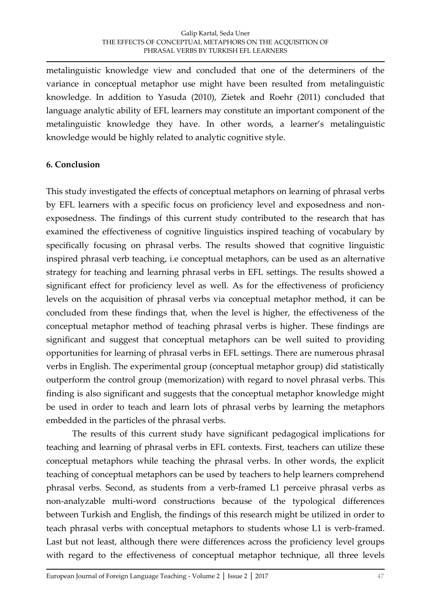metalinguistic knowledge view and concluded that one of the determiners of the variance in conceptual metaphor use might have been resulted from metalinguistic knowledge. In addition to Yasuda (2010), Zietek and Roehr (2011) concluded that language analytic ability of EFL learners may constitute an important component of the metalinguistic knowledge they have. In other words, a learner's metalinguistic knowledge would be highly related to analytic cognitive style.

# **6. Conclusion**

This study investigated the effects of conceptual metaphors on learning of phrasal verbs by EFL learners with a specific focus on proficiency level and exposedness and nonexposedness. The findings of this current study contributed to the research that has examined the effectiveness of cognitive linguistics inspired teaching of vocabulary by specifically focusing on phrasal verbs. The results showed that cognitive linguistic inspired phrasal verb teaching, i.e conceptual metaphors, can be used as an alternative strategy for teaching and learning phrasal verbs in EFL settings. The results showed a significant effect for proficiency level as well. As for the effectiveness of proficiency levels on the acquisition of phrasal verbs via conceptual metaphor method, it can be concluded from these findings that, when the level is higher, the effectiveness of the conceptual metaphor method of teaching phrasal verbs is higher. These findings are significant and suggest that conceptual metaphors can be well suited to providing opportunities for learning of phrasal verbs in EFL settings. There are numerous phrasal verbs in English. The experimental group (conceptual metaphor group) did statistically outperform the control group (memorization) with regard to novel phrasal verbs. This finding is also significant and suggests that the conceptual metaphor knowledge might be used in order to teach and learn lots of phrasal verbs by learning the metaphors embedded in the particles of the phrasal verbs.

The results of this current study have significant pedagogical implications for teaching and learning of phrasal verbs in EFL contexts. First, teachers can utilize these conceptual metaphors while teaching the phrasal verbs. In other words, the explicit teaching of conceptual metaphors can be used by teachers to help learners comprehend phrasal verbs. Second, as students from a verb-framed L1 perceive phrasal verbs as non-analyzable multi-word constructions because of the typological differences between Turkish and English, the findings of this research might be utilized in order to teach phrasal verbs with conceptual metaphors to students whose L1 is verb-framed. Last but not least, although there were differences across the proficiency level groups with regard to the effectiveness of conceptual metaphor technique, all three levels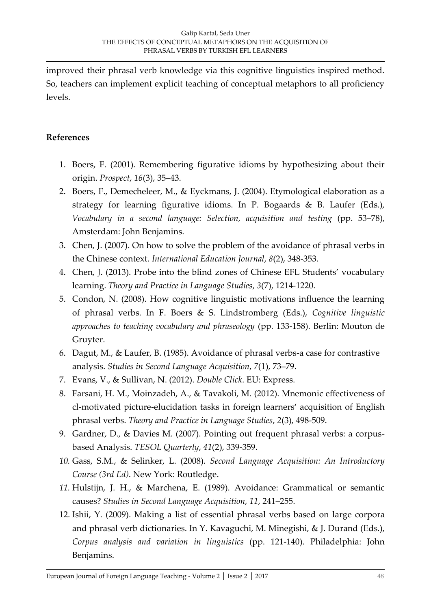improved their phrasal verb knowledge via this cognitive linguistics inspired method. So, teachers can implement explicit teaching of conceptual metaphors to all proficiency levels.

### **References**

- 1. Boers, F. (2001). Remembering figurative idioms by hypothesizing about their origin. *Prospect*, *16*(3), 35–43.
- 2. Boers, F., Demecheleer, M., & Eyckmans, J. (2004). Etymological elaboration as a strategy for learning figurative idioms. In P. Bogaards & B. Laufer (Eds.), *Vocabulary in a second language: Selection, acquisition and testing* (pp. 53–78), Amsterdam: John Benjamins.
- 3. Chen, J. (2007). On how to solve the problem of the avoidance of phrasal verbs in the Chinese context. *International Education Journal*, *8*(2), 348-353.
- 4. Chen, J. (2013). Probe into the blind zones of Chinese EFL Students' vocabulary learning. *Theory and Practice in Language Studies*, *3*(7), 1214-1220.
- 5. Condon, N. (2008). How cognitive linguistic motivations influence the learning of phrasal verbs. In F. Boers & S. Lindstromberg (Eds.), *Cognitive linguistic approaches to teaching vocabulary and phraseology* (pp. 133-158). Berlin: Mouton de Gruyter.
- 6. Dagut, M., & Laufer, B. (1985). Avoidance of phrasal verbs-a case for contrastive analysis. *Studies in Second Language Acquisition*, *7*(1), 73–79.
- 7. Evans, V., & Sullivan, N. (2012). *Double Click*. EU: Express.
- 8. Farsani, H. M., Moinzadeh, A., & Tavakoli, M. (2012). Mnemonic effectiveness of cl-motivated picture-elucidation tasks in foreign learners' acquisition of English phrasal verbs. *Theory and Practice in Language Studies*, *2*(3), 498-509.
- 9. Gardner, D., & Davies M. (2007). Pointing out frequent phrasal verbs: a corpusbased Analysis. *TESOL Quarterly*, *41*(2), 339-359.
- *10.* Gass, S.M., & Selinker, L. (2008). *Second Language Acquisition: An Introductory Course (3rd Ed)*. New York: Routledge.
- *11.* Hulstijn, J. H., & Marchena, E. (1989). Avoidance: Grammatical or semantic causes? *Studies in Second Language Acquisition, 11*, 241–255.
- 12. Ishii, Y. (2009). Making a list of essential phrasal verbs based on large corpora and phrasal verb dictionaries. In Y. Kavaguchi, M. Minegishi, & J. Durand (Eds.), *Corpus analysis and variation in linguistics* (pp. 121-140). Philadelphia: John Benjamins.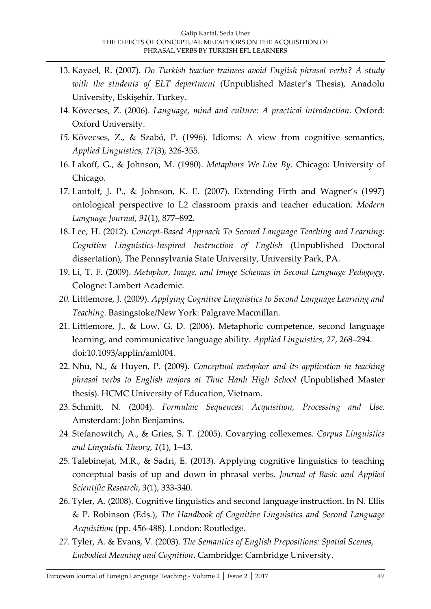- 13. Kayael, R. (2007). *Do Turkish teacher trainees avoid English phrasal verbs? A study with the students of ELT department* (Unpublished Master's Thesis), Anadolu University, Eskişehir, Turkey.
- 14. Kövecses, Z. (2006). *Language, mind and culture: A practical introduction*. Oxford: Oxford University.
- *15.* Kövecses, Z., & Szabó, P. (1996). Idioms: A view from cognitive semantics, *Applied Linguistics, 17*(3), 326-355.
- 16. Lakoff, G., & Johnson, M. (1980). *Metaphors We Live By*. Chicago: University of Chicago.
- 17. Lantolf, J. P., & Johnson, K. E. (2007). Extending Firth and Wagner's (1997) ontological perspective to L2 classroom praxis and teacher education. *Modern Language Journal*, *91*(1), 877–892.
- 18. Lee, H. (2012). *Concept-Based Approach To Second Language Teaching and Learning: Cognitive Linguistics-Inspired Instruction of English* (Unpublished Doctoral dissertation), The Pennsylvania State University, University Park, PA.
- 19. Li, T. F. (2009). *Metaphor, Image, and Image Schemas in Second Language Pedagogy*. Cologne: Lambert Academic.
- *20.* Littlemore, J. (2009). *Applying Cognitive Linguistics to Second Language Learning and Teaching.* Basingstoke/New York: Palgrave Macmillan.
- 21. Littlemore, J., & Low, G. D. (2006). Metaphoric competence, second language learning, and communicative language ability. *Applied Linguistics*, *27*, 268–294. doi:10.1093/applin/aml004.
- 22. Nhu, N., & Huyen, P. (2009). *Conceptual metaphor and its application in teaching phrasal verbs to English majors at Thuc Hanh High School* (Unpublished Master thesis). HCMC University of Education, Vietnam.
- 23. Schmitt, N. (2004). *Formulaic Sequences: Acquisition, Processing and Use*. Amsterdam: John Benjamins.
- 24. Stefanowitch, A., & Gries, S. T. (2005). Covarying collexemes. *Corpus Linguistics and Linguistic Theory*, *1*(1), 1–43.
- 25. Talebinejat, M.R., & Sadri, E. (2013). Applying cognitive linguistics to teaching conceptual basis of up and down in phrasal verbs. *Journal of Basic and Applied Scientific Research*, *3*(1), 333-340.
- 26. Tyler, A. (2008). Cognitive linguistics and second language instruction. In N. Ellis & P. Robinson (Eds.), *The Handbook of Cognitive Linguistics and Second Language Acquisition* (pp. 456-488). London: Routledge.
- *27.* Tyler, A. & Evans, V. (2003). *The Semantics of English Prepositions: Spatial Scenes, Embodied Meaning and Cognition*. Cambridge: Cambridge University.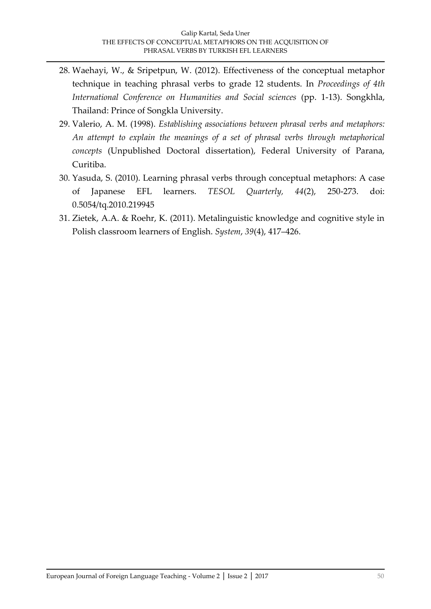- 28. Waehayi, W., & Sripetpun, W. (2012). Effectiveness of the conceptual metaphor technique in teaching phrasal verbs to grade 12 students. In *Proceedings of 4th International Conference on Humanities and Social sciences* (pp. 1-13). Songkhla, Thailand: Prince of Songkla University.
- 29. Valerio, A. M. (1998). *Establishing associations between phrasal verbs and metaphors: An attempt to explain the meanings of a set of phrasal verbs through metaphorical concepts* (Unpublished Doctoral dissertation), Federal University of Parana, Curitiba.
- 30. Yasuda, S. (2010). Learning phrasal verbs through conceptual metaphors: A case of Japanese EFL learners. *TESOL Quarterly, 44*(2), 250-273. doi: 0.5054/tq.2010.219945
- 31. Zietek, A.A. & Roehr, K. (2011). Metalinguistic knowledge and cognitive style in Polish classroom learners of English. *System*, *39*(4), 417–426.